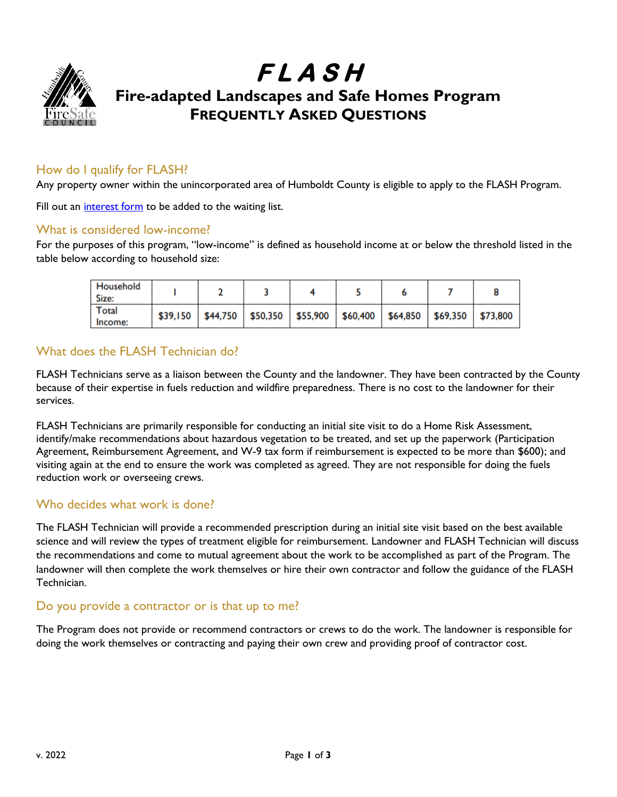

# **F L A S H Fire-adapted Landscapes and Safe Homes Program FREQUENTLY ASKED QUESTIONS**

### How do I qualify for FLASH?

Any property owner within the unincorporated area of Humboldt County is eligible to apply to the FLASH Program.

Fill out an [interest form](https://arcg.is/1qeiqS) to be added to the waiting list.

#### What is considered low-income?

For the purposes of this program, "low-income" is defined as household income at or below the threshold listed in the table below according to household size:

| Household<br>Size: |  |                                                                                        |  |  |  |
|--------------------|--|----------------------------------------------------------------------------------------|--|--|--|
| Total<br>Income:   |  | $$39,150$   \$44,750   \$50,350   \$55,900   \$60,400   \$64,850   \$69,350   \$73,800 |  |  |  |

## What does the FLASH Technician do?

FLASH Technicians serve as a liaison between the County and the landowner. They have been contracted by the County because of their expertise in fuels reduction and wildfire preparedness. There is no cost to the landowner for their services.

FLASH Technicians are primarily responsible for conducting an initial site visit to do a Home Risk Assessment, identify/make recommendations about hazardous vegetation to be treated, and set up the paperwork (Participation Agreement, Reimbursement Agreement, and W-9 tax form if reimbursement is expected to be more than \$600); and visiting again at the end to ensure the work was completed as agreed. They are not responsible for doing the fuels reduction work or overseeing crews.

#### Who decides what work is done?

The FLASH Technician will provide a recommended prescription during an initial site visit based on the best available science and will review the types of treatment eligible for reimbursement. Landowner and FLASH Technician will discuss the recommendations and come to mutual agreement about the work to be accomplished as part of the Program. The landowner will then complete the work themselves or hire their own contractor and follow the guidance of the FLASH Technician.

#### Do you provide a contractor or is that up to me?

The Program does not provide or recommend contractors or crews to do the work. The landowner is responsible for doing the work themselves or contracting and paying their own crew and providing proof of contractor cost.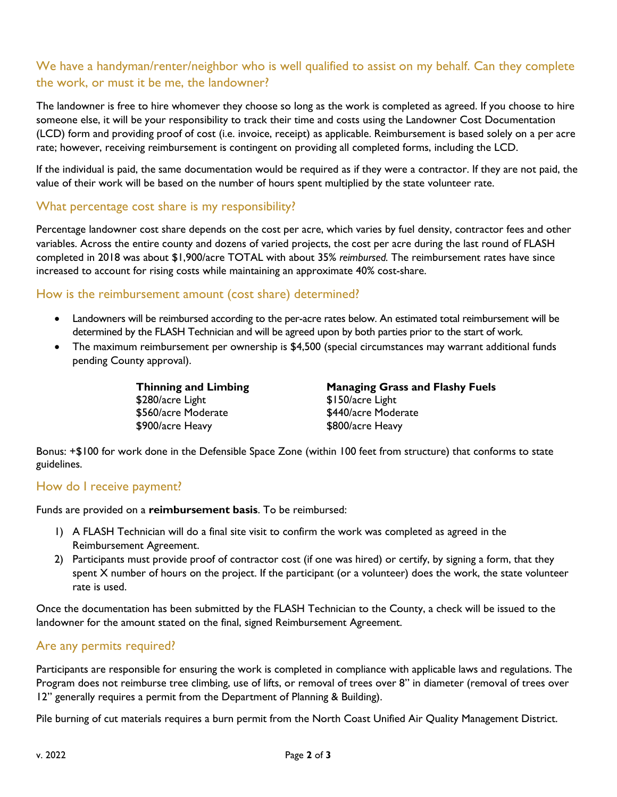## We have a handyman/renter/neighbor who is well qualified to assist on my behalf. Can they complete the work, or must it be me, the landowner?

The landowner is free to hire whomever they choose so long as the work is completed as agreed. If you choose to hire someone else, it will be your responsibility to track their time and costs using the Landowner Cost Documentation (LCD) form and providing proof of cost (i.e. invoice, receipt) as applicable. Reimbursement is based solely on a per acre rate; however, receiving reimbursement is contingent on providing all completed forms, including the LCD.

If the individual is paid, the same documentation would be required as if they were a contractor. If they are not paid, the value of their work will be based on the number of hours spent multiplied by the state volunteer rate.

#### What percentage cost share is my responsibility?

Percentage landowner cost share depends on the cost per acre, which varies by fuel density, contractor fees and other variables. Across the entire county and dozens of varied projects, the cost per acre during the last round of FLASH completed in 2018 was about \$1,900/acre TOTAL with about 35% *reimbursed.* The reimbursement rates have since increased to account for rising costs while maintaining an approximate 40% cost-share.

#### How is the reimbursement amount (cost share) determined?

- Landowners will be reimbursed according to the per-acre rates below. An estimated total reimbursement will be determined by the FLASH Technician and will be agreed upon by both parties prior to the start of work.
- The maximum reimbursement per ownership is \$4,500 (special circumstances may warrant additional funds pending County approval).

**Thinning and Limbing** \$280/acre Light \$560/acre Moderate \$900/acre Heavy

**Managing Grass and Flashy Fuels** \$150/acre Light \$440/acre Moderate \$800/acre Heavy

Bonus: +\$100 for work done in the Defensible Space Zone (within 100 feet from structure) that conforms to state guidelines.

#### How do I receive payment?

Funds are provided on a **reimbursement basis**. To be reimbursed:

- 1) A FLASH Technician will do a final site visit to confirm the work was completed as agreed in the Reimbursement Agreement.
- 2) Participants must provide proof of contractor cost (if one was hired) or certify, by signing a form, that they spent X number of hours on the project. If the participant (or a volunteer) does the work, the state volunteer rate is used.

Once the documentation has been submitted by the FLASH Technician to the County, a check will be issued to the landowner for the amount stated on the final, signed Reimbursement Agreement.

### Are any permits required?

Participants are responsible for ensuring the work is completed in compliance with applicable laws and regulations. The Program does not reimburse tree climbing, use of lifts, or removal of trees over 8" in diameter (removal of trees over 12" generally requires a permit from the Department of Planning & Building).

Pile burning of cut materials requires a burn permit from the North Coast Unified Air Quality Management District.